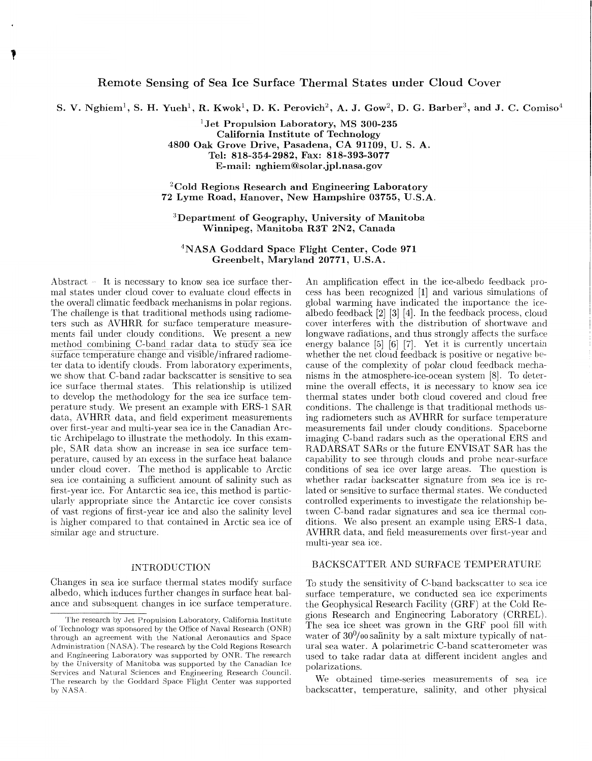# Remote Sensing of Sea Ice Surface Thermal States under Cloud Cover

S. V. Nghiem<sup>1</sup>, S. H. Yueh<sup>1</sup>, R. Kwok<sup>1</sup>, D. K. Perovich<sup>2</sup>, A. J. Gow<sup>2</sup>, D. G. Barber<sup>3</sup>, and J. C. Comiso<sup>4</sup>

**Jet Propulsion Laboratory, MS 300-235 California Institute of Technology 4800 Oak Grove Drive, Pasadena, CA 91109, U.** S. **A. Tel: 818-354-2982, Fax: 818-393-3077 E-mail: [nghiem@solar.jpl.nasa.gov](mailto:nghiem@solar.jpl.nasa.gov)** 

**'Cold Regions Research and Engineering Laboratory 72 Lyme Road, Hanover, New Hampshire 03755, U.S.A.** 

**'Department of Geography, University of Manitoba Winnipeg, Manitoba R3T 2N2, Canada** 

**"NASA Goddard Space Flight Center, Code 971 Greenbelt, Maryland 20771, U.S.A.** 

Abstract – It is necessary to know sea ice surface thermal states under cloud cover to evaluate cloud effects in the overall climatic feedback mechanisms in polar regions. The challenge is that traditional methods using radiometers such as AVHRR for surface temperature measurements fail under cloudy conditions. We present a new method combining C-band radar data to study sea ice  $\frac{S}{\sqrt{S}}$  surface temperature change and visible/infrared radiometer data to identify clouds. From laboratory experiments, we show that C-band radar backscatter is sensitive to sea ice surface thermal states. This relationship is utilized to develop the methodology for the sea ice surface temperature study. We present an example with ERS-1 SAR. data, AVHRR data, and field experiment measurements over first-year and multi-year sea ice in the Canadian Arctic Archipelago to illustrate the methodoly. In this example, SAR data show an increase in sea ice surface temperature, caused by an excess in the surface heat balance under cloud cover. The method is applicable to Arctic sea ice containing a sufficient amount of salinity such as first-year ice. For Antarctic sea ice, this method is particularly appropriate since the Antarctic ice cover consists of vast regions of first-year ice and also the salinity level is higher compared to that contained in Arctic sea ice of similar age and structure.

## INTRODUCTION

Changes in sea ice surface thermal states modify surface albedo, which induces further changes in surface heat balance and subsequent changes in ice surface temperature.

An amplification effect in the icc-albedo feedback process has been recognized [l] and various simulations of global warming have indicated the importance the icealbedo feedback [2] [3] [4]. In the feedback process, cloud cover interferes with the distribution of shortwave and longwave radiations, and thus strongly affects the surface energy balance  $[5]$   $[6]$   $[7]$ . Yet it is currently uncertain whether the net cloud feedback is positive or negative because of the complexity of polar cloud feedback mechanisms in the atmosphere-ice-ocean system [8]. To determine the overall effects, it is necessary to know sea ice thermal states under both cloud covered and cloud free conditions. The challenge is that traditional methods using radiometers such as AVHRR for surface temperature measurements fail under cloudy conditions. Spaceborne imaging C-band radars such as the operational ERS and RADARSAT SARs or the future ENVISAT SAR has the capability to see through clouds and probe near-surface conditions of sea ice over large areas. The question is whether radar backscatter signature from sea ice is related or sensitive to surface thermal states. We conducted controlled experiments to investigate the relationship between C-band radar signatures and sea ice thermal conditions. We also present an example using ERS-1 data, AVHRR data, and field measurements over first-year and multi-year sea ice.

### BACKSCATTER AND SURFACE TEMPERATURE

To study the sensitivity of C-band backscatter to sea ice surface temperature, we conducted sea ice experiments the Geophysical Research Facility (GRF) at the Cold Regions Research and Engineering Laboratory (CRREL). The sea ice sheet was grown in the GRF pool fill with water of  $30\%$  oo salinity by a salt mixture typically of natural sea water. A polarimetric C-band scatterometer was used to take radar data at different incident angles and polarizations.

We obtained time-series measurements of sea ice backscatter, temperature, salinity, and other physical

The research by Jet Propulsion Laboratory, California Institute of Technology was sponsored by the Office of Naval Research (ONR) through an agreement with the National Aeronautics and Space Administration (NASA). The research by the Cold Regions Research and Engineering Laboratory was supported by ONR. The research by the University of Manitoba was supported by the Canadian Ice Scrvices and Natural Sciences and Engineering Research Council. The research by the Goddard Space Flight. Center was supported by NASA.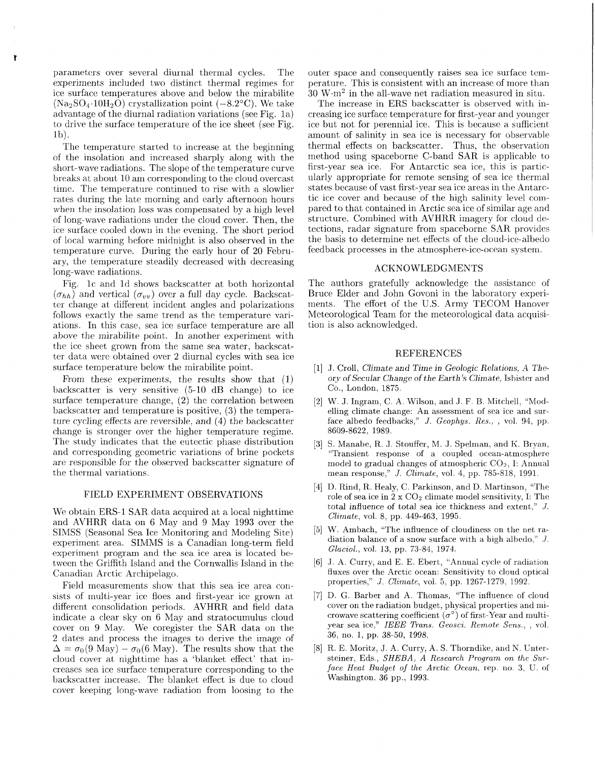parameters over several diurnal thermal cycles. The experiments included two distinct thermad regimes for ice surface temperatures above and below the mirabilite  $(Na<sub>2</sub>SO<sub>4</sub>·10H<sub>2</sub>O)$  crystallization point  $(-8.2°C)$ . We take advantage of the diurnal radiation variations (see Fig. 1a) to drive the surface temperature of the ice sheet (see Fig.  $1<sub>b</sub>$ .

**t** 

The temperature started to increase at the beginning of the insolation and increased sharply along with the short-wave radiations. The slope of the temperature curve breaks at about 10 am corresponding to the cloud overcast time. The temperature continued to rise with a slowlier rates during the late morning and early afternoon hours when the insolation loss was compensated by a high level of long-wave radiations under the cloud cover. Then, the ice surface cooled down in the evening. The short period of local warming before midnight is also observed in the temperature curve. During the early hour of 20 February, the temperature steadily decreased with decreasing long-wave radiations.

Fig. 1c and 1d shows backscatter at both horizontal  $(\sigma_{hh})$  and vertical  $(\sigma_{uv})$  over a full day cycle. Backscatter change at different incident angles and polarizations follows exactly the same trend as the temperature variations. In this case, sea ice surface temperature are all above the mirabilite point. In another experiment with the ice sheet grown from the same sea water, backscatter data were obtained over 2 diurnal cycles with sea ice surface temperature below the mirabilite point.

From these experiments, the results show that (I) backscatter is very sensitive  $(5-10$  dB change) to ice surface temperature change,  $(2)$  the correlation between backscatter and temperature is positive, (3) the temperature cycling *effects* are reversible, and (4) the backscatter change is stronger over the higher temperature regime. The study indicates that the eutectic phase distribution and corresponding geometric variations of brine pockets arc responsible for the observed backscatter signature of the thermal variations.

#### FIELD EXPERIMENT OBSERVATIONS

We obtain ERS-1 SAR data acquired at a local nighttime and AVHRR data on *6* May and 9 May 1993 over the SIMSS (Seasonal Sea Ice Monitoring and Modeling Site) experiment area. SIMMS is a Canadian long-term field experiment program and the sea ice area is located between the Griffith Island and the Cornwallis Island in the Canadian Arctic Archipelago.

Field measurements show that, this sea ice area consists of multi-year ice floes and first-year ice grown at different consolidation periods. AVHRR and field data indicate a clear sky on 6 May and stratocumulus cloud cover on 9 May. We coregister the SAR. data on the 2 dates and process the images to derive the image of  $\Delta = \sigma_0(9 \text{ May}) - \sigma_0(6 \text{ May})$ . The results show that the cloud cover at nighttime has a. 'blanket effect' that increases sea ice surface temperature corresponding to the backscatter increase. The blanket effect is due to cloud cover keeping long-wave radiation from loosing to the

outer space and consequently raises sea ice surface temperature. This is consistent with an increase of more than  $30 \, \text{W} \cdot \text{m}^2$  in the all-wave net radiation measured in situ.

The increase in ERS backscatter is observed with increasing ice surface temperature for first-year and younger ice but not for perennial ice. This is because a sufficient amount of salinity in sea ice is necessary for observable thermal effects on backscatter. Thus, the observation method using spaceborne C-band SAR is applicable to first-year sea ice. For Antarctic sea ice, this is particularly appropriate for remote sensing of sea ice thermal states because of vast first-year sea ice areas in the Antarctic ice cover and because of the high salinity level compared to that contained in Arctic sea ice of similar age and structure. Combined with AVHRR imagery for cloud detections, radar signature from spaceborne SAR provides the basis to determine net effects of the cloud-ice-albedo feedback processes in the atmosphere-ice-ocean system.

## ACKNOWLEDGMENTS

The authors gratefully acknowledge the assistance of Bruce Elder and John Govoni in the laboratory experiments. The effort of the US. Army TECOM Hanover Meteorological Team for the meteorological data acquisition is also acknowledged.

## **REFERENCES**

- [I] J. Croll, Climate and Time in Geologic Relations, A The*ory of* Secular Change *of* the Earth's Climate, Isbister and *Co.,* London, 1875.
- 121 W. J. Ingram, C. A. Wilson, and J. F. B. Mitchell, "Modelling climate change: An assessment of sea ice and surface albedo feedbacks," *J. Geophys. Res.*, , vol. 94, pp. 8609-8622, 1989.
- [3] S. Manabe, R. J. Stouffer, M. J. Spelman, and K. Bryan, "Transient response of a coupled ocean-atmosphere model to gradual changes of atmospheric  $CO<sub>2</sub>$ , I: Annual mean response," *J. Climate*, vol. 4, pp. 785-818, 1991.
- [4] D. Rind, R. Healy, C. Parkinson, and D. Martinson, "The role of sea ice in  $2 \times CO_2$  climate model sensitivity, I: The total influence of total *sea* ice thickness and extent," *J. Climate,* vol. 8, pp. 449-463, 1995.
- [5j W. Ambach, "The influence of cloudiness on the net radiation balance of a snow surface with a high albedo," *J*. *Glaciol.,* vol. **13,** pp. 73-84, 1974.
- [6] J. A. Curry, and E. E. Ebert, "Annual cycle of radiation fluxes over the Arctic ocean: Sensitivity to clond optical properties," *J. Climate*, vol. 5, pp. 1267-1279, 1992.
- 171 D. *G.* Barber and A. Thomas, "The infiuencc of cloud cover on the radiation budget, physical properties and microwave scattering coefficient  $(\sigma^{\circ})$  of first-Year and multiyear sea ice," *IEEE Trans. Geosci. Remote Sens.,* , vol. 36, **110.** 1, pp. 38-50, 1998.
- [8] R. E. Moritz, J. A. Curry, A. S. Thorndike, and N. Untersteiner, Eds., *SHEBA*, *A Research Program on the Surface Heat Budget of the Arctic Ocean, rep. no. 3, U. of* Washington. 36 pp., 1993.